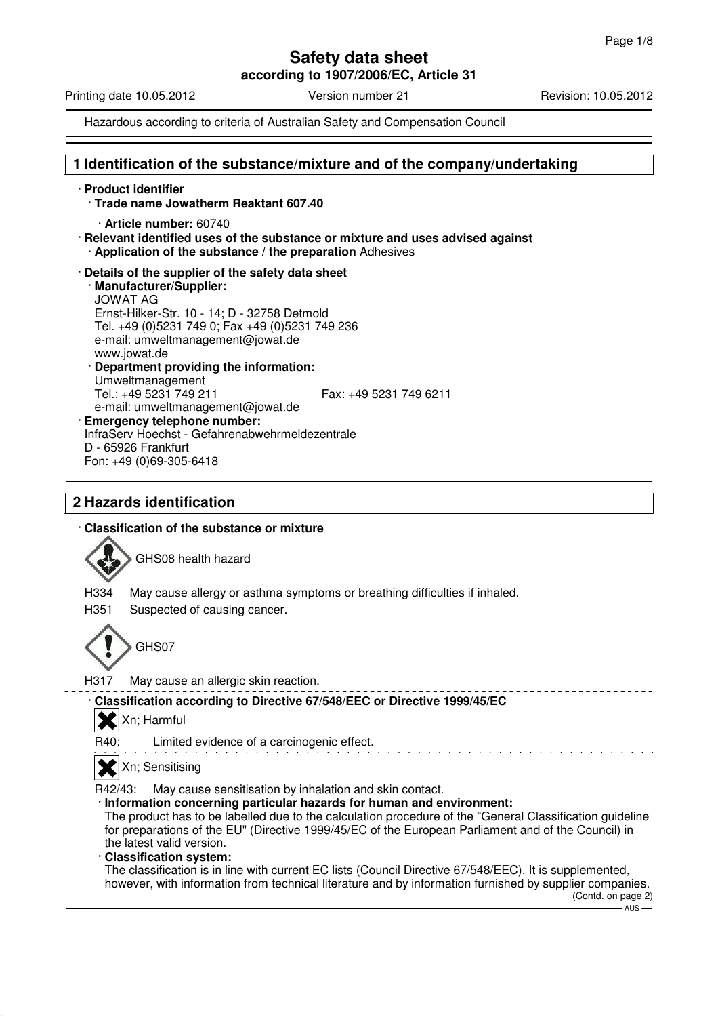**according to 1907/2006/EC, Article 31**

Printing date 10.05.2012 Version number 21 Revision: 10.05.2012

Hazardous according to criteria of Australian Safety and Compensation Council

## **1 Identification of the substance/mixture and of the company/undertaking**

· **Product identifier** · **Trade name Jowatherm Reaktant 607.40** · **Article number:** 60740 · **Relevant identified uses of the substance or mixture and uses advised against** · **Application of the substance / the preparation** Adhesives · **Details of the supplier of the safety data sheet** · **Manufacturer/Supplier:** JOWAT AG Ernst-Hilker-Str. 10 - 14; D - 32758 Detmold Tel. +49 (0)5231 749 0; Fax +49 (0)5231 749 236 e-mail: umweltmanagement@jowat.de www.jowat.de · **Department providing the information:** Umweltmanagement Tel.: +49 5231 749 211 Fax: +49 5231 749 6211 e-mail: umweltmanagement@jowat.de · **Emergency telephone number:** InfraServ Hoechst - Gefahrenabwehrmeldezentrale D - 65926 Frankfurt Fon: +49 (0)69-305-6418

# **2 Hazards identification**

## · **Classification of the substance or mixture**



GHS08 health hazard

H334 May cause allergy or asthma symptoms or breathing difficulties if inhaled.

H351 Suspected of causing cancer.



H317 May cause an allergic skin reaction.

· **Classification according to Directive 67/548/EEC or Directive 1999/45/EC**

X Xn; Harmful

R40: Limited evidence of a carcinogenic effect.

X Xn; Sensitising

R42/43: May cause sensitisation by inhalation and skin contact.

· **Information concerning particular hazards for human and environment:**

The product has to be labelled due to the calculation procedure of the "General Classification guideline for preparations of the EU" (Directive 1999/45/EC of the European Parliament and of the Council) in the latest valid version.

· **Classification system:**

The classification is in line with current EC lists (Council Directive 67/548/EEC). It is supplemented, however, with information from technical literature and by information furnished by supplier companies.

(Contd. on page 2)  $-$  AUS  $-$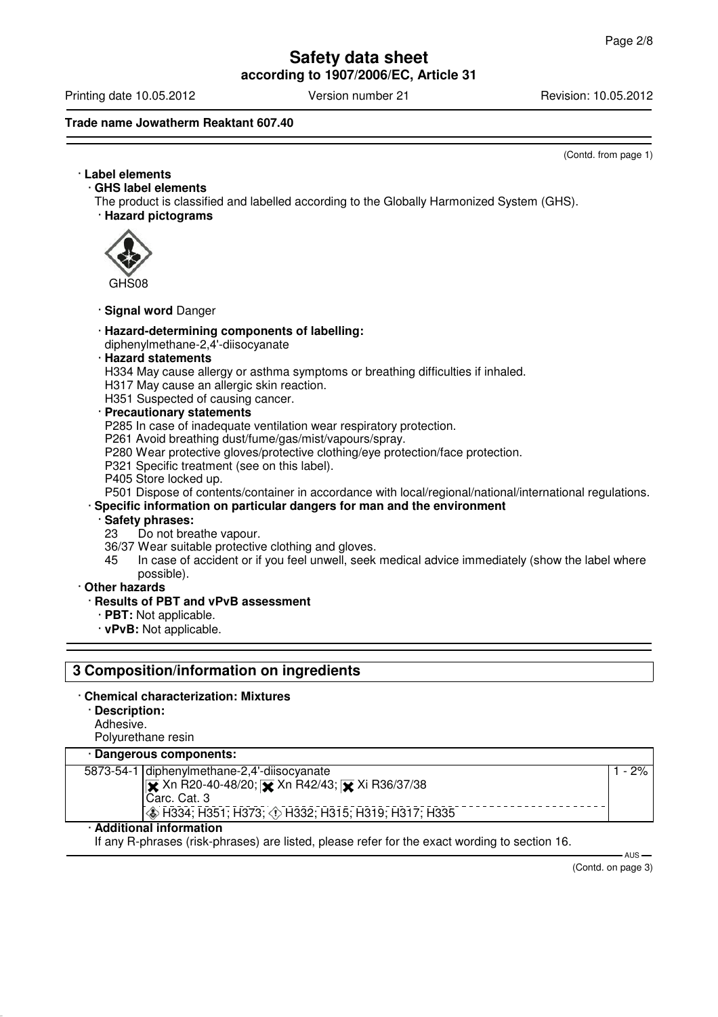**according to 1907/2006/EC, Article 31**

Printing date 10.05.2012 **Version number 21** Revision: 10.05.2012

## **Trade name Jowatherm Reaktant 607.40**

(Contd. from page 1)

# · **Label elements**

· **GHS label elements**

The product is classified and labelled according to the Globally Harmonized System (GHS).

· **Hazard pictograms**



GHS08

### · **Signal word** Danger

#### · **Hazard-determining components of labelling:**

diphenylmethane-2,4'-diisocyanate

### · **Hazard statements**

H334 May cause allergy or asthma symptoms or breathing difficulties if inhaled.

H317 May cause an allergic skin reaction.

H351 Suspected of causing cancer.

#### · **Precautionary statements**

P285 In case of inadequate ventilation wear respiratory protection.

P261 Avoid breathing dust/fume/gas/mist/vapours/spray.

- P280 Wear protective gloves/protective clothing/eye protection/face protection.
- P321 Specific treatment (see on this label).
- P405 Store locked up.

P501 Dispose of contents/container in accordance with local/regional/national/international regulations.

## · **Specific information on particular dangers for man and the environment**

# · **Safety phrases:**

- Do not breathe vapour.
- 36/37 Wear suitable protective clothing and gloves.<br>45 In case of accident or if you feel unwell, seek
- In case of accident or if you feel unwell, seek medical advice immediately (show the label where possible).

#### · **Other hazards**

#### · **Results of PBT and vPvB assessment**

- · **PBT:** Not applicable.
- · **vPvB:** Not applicable.

## **3 Composition/information on ingredients**

#### · **Chemical characterization: Mixtures**

· **Description:** Adhesive.

Polyurethane resin

#### · **Dangerous components:**

| 5873-54-1 diphenylmethane-2,4'-diisocyanate           | $2\%$ i |
|-------------------------------------------------------|---------|
| <b>IX</b> Xn R20-40-48/20; Xx Xn R42/43; Xi R36/37/38 |         |
| Carc. Cat. 3                                          |         |
| (◈ H334; H351; H373; ◈ H332; H315; H319; H317; H335   |         |
|                                                       |         |

### · **Additional information**

If any R-phrases (risk-phrases) are listed, please refer for the exact wording to section 16.

(Contd. on page 3)

- AUS -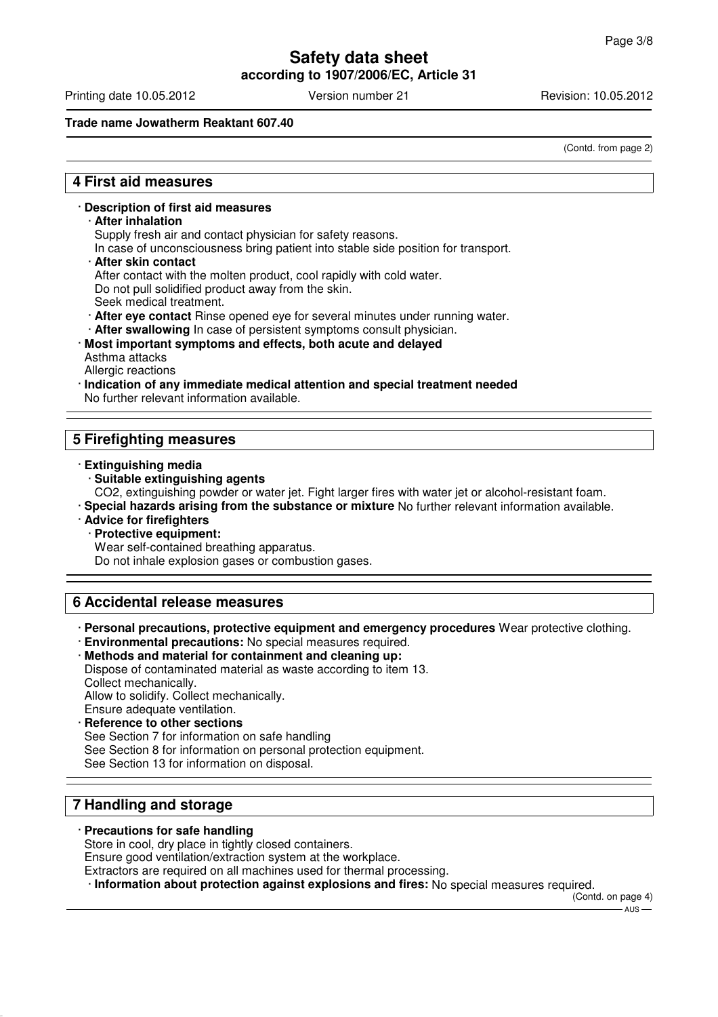**according to 1907/2006/EC, Article 31**

Printing date 10.05.2012 Version number 21 Revision: 10.05.2012

### **Trade name Jowatherm Reaktant 607.40**

(Contd. from page 2)

# **4 First aid measures**

#### · **Description of first aid measures**

#### · **After inhalation**

Supply fresh air and contact physician for safety reasons.

In case of unconsciousness bring patient into stable side position for transport.

· **After skin contact**

After contact with the molten product, cool rapidly with cold water.

Do not pull solidified product away from the skin.

- Seek medical treatment.
- · **After eye contact** Rinse opened eye for several minutes under running water.
- After swallowing In case of persistent symptoms consult physician.
- · **Most important symptoms and effects, both acute and delayed** Asthma attacks Allergic reactions
- · **Indication of any immediate medical attention and special treatment needed** No further relevant information available.

# **5 Firefighting measures**

- · **Extinguishing media**
	- · **Suitable extinguishing agents**

CO2, extinguishing powder or water jet. Fight larger fires with water jet or alcohol-resistant foam.

- · **Special hazards arising from the substance or mixture** No further relevant information available.
- · **Advice for firefighters**
	- · **Protective equipment:**

Wear self-contained breathing apparatus.

Do not inhale explosion gases or combustion gases.

# **6 Accidental release measures**

· **Personal precautions, protective equipment and emergency procedures** Wear protective clothing.

· **Environmental precautions:** No special measures required.

· **Methods and material for containment and cleaning up:** Dispose of contaminated material as waste according to item 13.

Collect mechanically.

Allow to solidify. Collect mechanically.

- Ensure adequate ventilation.
- **Reference to other sections**

See Section 7 for information on safe handling

See Section 8 for information on personal protection equipment.

See Section 13 for information on disposal.

# **7 Handling and storage**

# · **Precautions for safe handling**

Store in cool, dry place in tightly closed containers.

Ensure good ventilation/extraction system at the workplace.

Extractors are required on all machines used for thermal processing.

· **Information about protection against explosions and fires:** No special measures required.

(Contd. on page 4)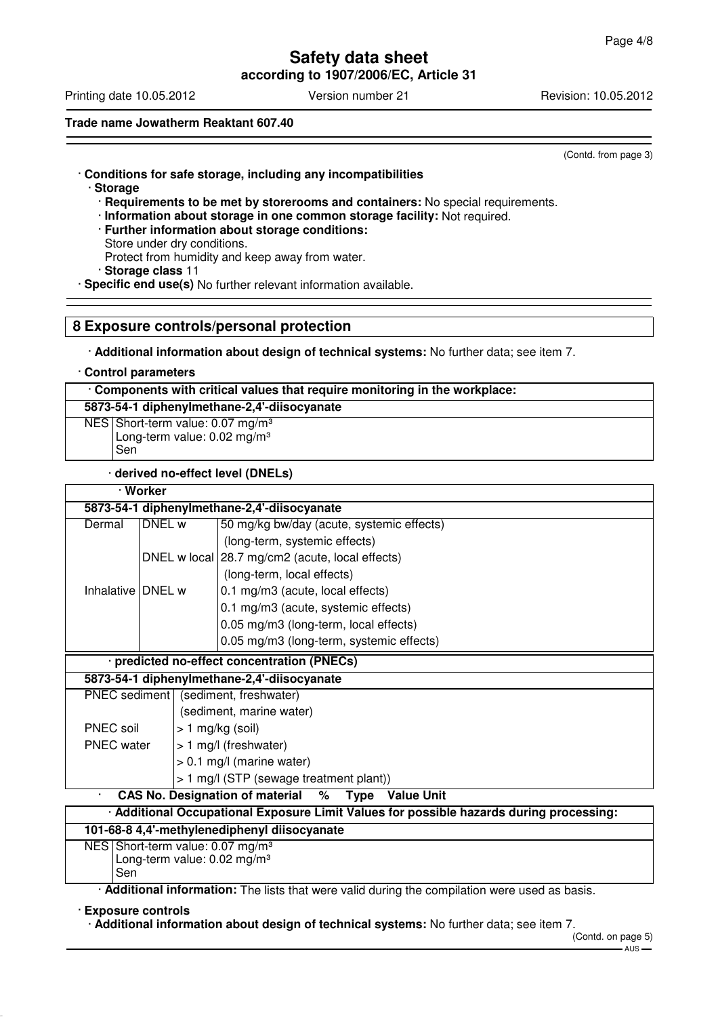**according to 1907/2006/EC, Article 31**

Printing date 10.05.2012 **Version number 21** Revision: 10.05.2012

**Trade name Jowatherm Reaktant 607.40**

(Contd. from page 3)

# · **Conditions for safe storage, including any incompatibilities**

- · **Storage**
	- · **Requirements to be met by storerooms and containers:** No special requirements.
	- · **Information about storage in one common storage facility:** Not required.
	- · **Further information about storage conditions:**
	- Store under dry conditions. Protect from humidity and keep away from water.

· **Storage class** 11

· **Specific end use(s)** No further relevant information available.

## **8 Exposure controls/personal protection**

· **Additional information about design of technical systems:** No further data; see item 7.

#### · **Control parameters**

## · **Components with critical values that require monitoring in the workplace:**

**5873-54-1 diphenylmethane-2,4'-diisocyanate**

NES Short-term value: 0.07 mg/m<sup>3</sup> Long-term value: 0.02 mg/m<sup>3</sup> Sen

#### · **derived no-effect level (DNELs)**

| · Worker                                                                                |                                      |  |                                                 |
|-----------------------------------------------------------------------------------------|--------------------------------------|--|-------------------------------------------------|
| 5873-54-1 diphenylmethane-2,4'-diisocyanate                                             |                                      |  |                                                 |
| Dermal                                                                                  | DNEL w                               |  | 50 mg/kg bw/day (acute, systemic effects)       |
|                                                                                         |                                      |  | (long-term, systemic effects)                   |
|                                                                                         |                                      |  | DNEL w local 28.7 mg/cm2 (acute, local effects) |
|                                                                                         |                                      |  | (long-term, local effects)                      |
| Inhalative DNEL w                                                                       |                                      |  | 0.1 mg/m3 (acute, local effects)                |
|                                                                                         |                                      |  | 0.1 mg/m3 (acute, systemic effects)             |
|                                                                                         |                                      |  | 0.05 mg/m3 (long-term, local effects)           |
|                                                                                         |                                      |  | 0.05 mg/m3 (long-term, systemic effects)        |
| · predicted no-effect concentration (PNECs)                                             |                                      |  |                                                 |
| 5873-54-1 diphenylmethane-2,4'-diisocyanate                                             |                                      |  |                                                 |
|                                                                                         | PNEC sediment (sediment, freshwater) |  |                                                 |
| (sediment, marine water)                                                                |                                      |  |                                                 |
| PNEC soil                                                                               |                                      |  | $> 1$ mg/kg (soil)                              |
| <b>PNEC</b> water                                                                       |                                      |  | > 1 mg/l (freshwater)                           |
|                                                                                         |                                      |  | $> 0.1$ mg/l (marine water)                     |
| > 1 mg/l (STP (sewage treatment plant))                                                 |                                      |  |                                                 |
| <b>CAS No. Designation of material</b><br>% Type Value Unit                             |                                      |  |                                                 |
| · Additional Occupational Exposure Limit Values for possible hazards during processing: |                                      |  |                                                 |
| 101-68-8 4,4'-methylenediphenyl diisocyanate                                            |                                      |  |                                                 |
| NES Short-term value: $0.07 \text{ mg/m}^3$                                             |                                      |  |                                                 |

Long-term value: 0.02 mg/m<sup>3</sup> Sen

· **Additional information:** The lists that were valid during the compilation were used as basis.

#### · **Exposure controls**

· **Additional information about design of technical systems:** No further data; see item 7.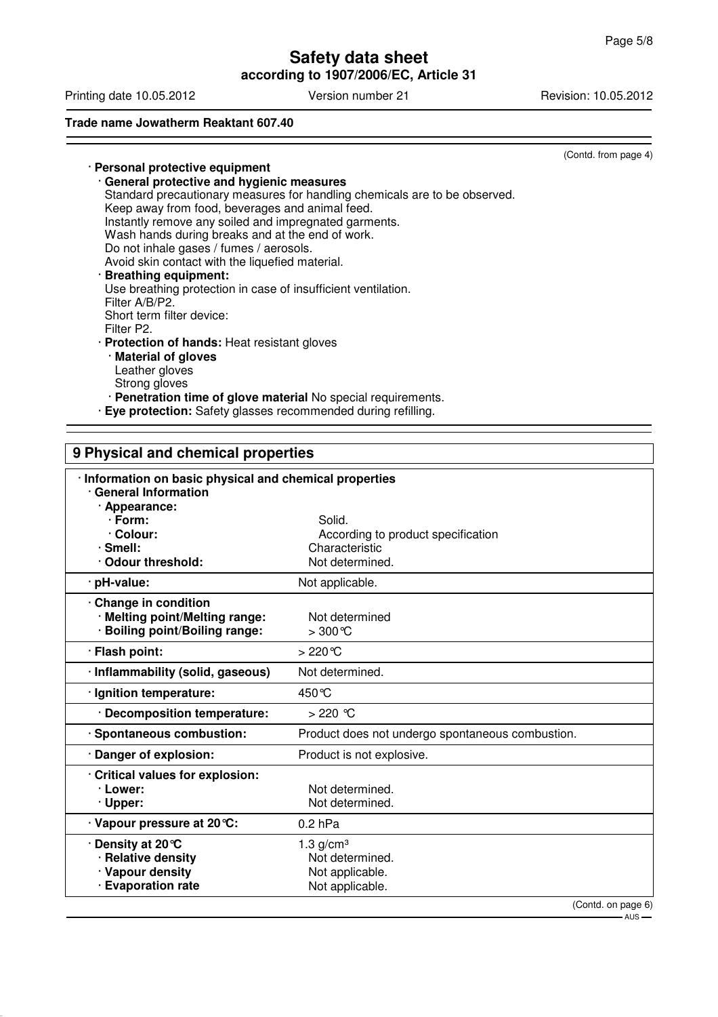**according to 1907/2006/EC, Article 31**

Printing date 10.05.2012 Version number 21 Revision: 10.05.2012

## **Trade name Jowatherm Reaktant 607.40**

(Contd. from page 4)

#### · **Personal protective equipment** · **General protective and hygienic measures** Standard precautionary measures for handling chemicals are to be observed. Keep away from food, beverages and animal feed. Instantly remove any soiled and impregnated garments. Wash hands during breaks and at the end of work. Do not inhale gases / fumes / aerosols. Avoid skin contact with the liquefied material. · **Breathing equipment:** Use breathing protection in case of insufficient ventilation. Filter A/B/P2. Short term filter device: Filter P2. · **Protection of hands:** Heat resistant gloves · **Material of gloves** Leather gloves Strong gloves

· **Penetration time of glove material** No special requirements.

· **Eye protection:** Safety glasses recommended during refilling.

| 9 Physical and chemical properties                                                                |                                                  |  |
|---------------------------------------------------------------------------------------------------|--------------------------------------------------|--|
| · Information on basic physical and chemical properties<br>· General Information<br>· Appearance: |                                                  |  |
| $\cdot$ Form:                                                                                     | Solid.                                           |  |
| · Colour:                                                                                         | According to product specification               |  |
| $\cdot$ Smell:                                                                                    | Characteristic                                   |  |
| · Odour threshold:                                                                                | Not determined.                                  |  |
| · pH-value:                                                                                       | Not applicable.                                  |  |
| Change in condition<br>· Melting point/Melting range:<br>· Boiling point/Boiling range:           | Not determined<br>$>300^{\circ}C$                |  |
| · Flash point:                                                                                    | $>220^{\circ}$ C                                 |  |
| · Inflammability (solid, gaseous)                                                                 | Not determined.                                  |  |
| · Ignition temperature:                                                                           | 450 °C                                           |  |
| · Decomposition temperature:                                                                      | $>220$ °C                                        |  |
| · Spontaneous combustion:                                                                         | Product does not undergo spontaneous combustion. |  |
| Danger of explosion:                                                                              | Product is not explosive.                        |  |
| Critical values for explosion:                                                                    |                                                  |  |
| · Lower:                                                                                          | Not determined.                                  |  |
| · Upper:                                                                                          | Not determined.                                  |  |
| · Vapour pressure at 20 °C:                                                                       | $0.2$ hPa                                        |  |
| Density at 20 °C                                                                                  | $1.3$ g/cm <sup>3</sup>                          |  |
| · Relative density                                                                                | Not determined.                                  |  |
| · Vapour density                                                                                  | Not applicable.                                  |  |
| · Evaporation rate                                                                                | Not applicable.                                  |  |
|                                                                                                   | (Contd. on page 6)                               |  |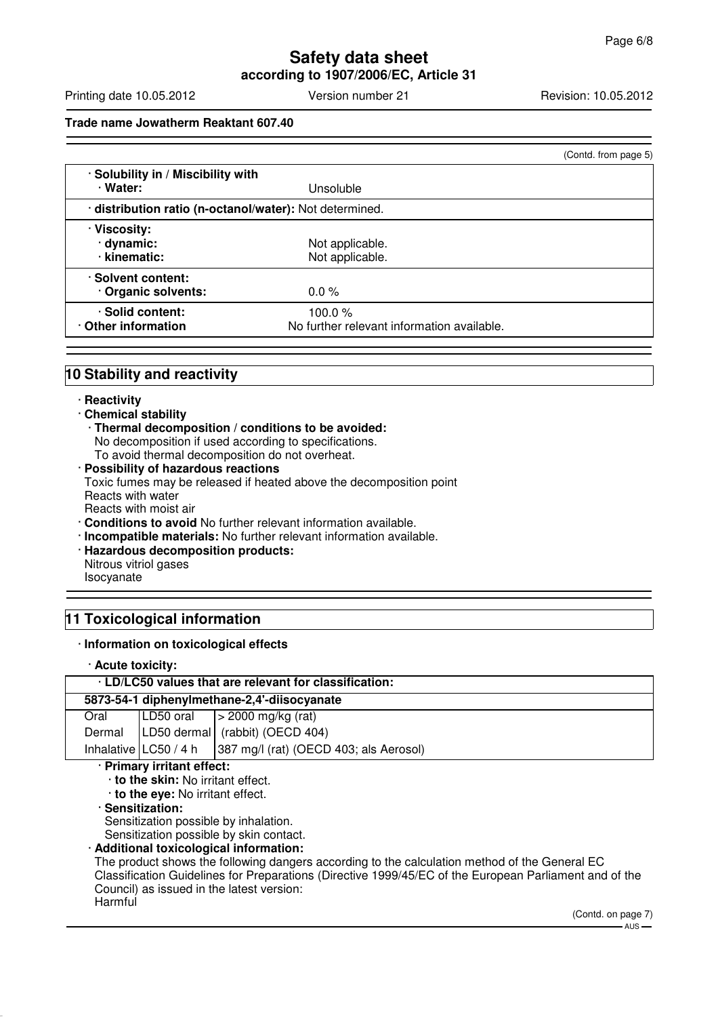# **Safety data sheet according to 1907/2006/EC, Article 31**

Printing date 10.05.2012 **Version number 21** Revision: 10.05.2012

**Trade name Jowatherm Reaktant 607.40**

|                                                         |                                                      | (Contd. from page 5) |
|---------------------------------------------------------|------------------------------------------------------|----------------------|
| · Solubility in / Miscibility with<br>· Water:          | Unsoluble                                            |                      |
| · distribution ratio (n-octanol/water): Not determined. |                                                      |                      |
| · Viscosity:<br>dynamic:<br>· kinematic:                | Not applicable.<br>Not applicable.                   |                      |
| · Solvent content:<br>Organic solvents:                 | $0.0 \%$                                             |                      |
| · Solid content:<br>Other information                   | 100.0%<br>No further relevant information available. |                      |

# **10 Stability and reactivity**

#### · **Reactivity**

#### · **Chemical stability**

- · **Thermal decomposition / conditions to be avoided:** No decomposition if used according to specifications. To avoid thermal decomposition do not overheat.
- · **Possibility of hazardous reactions** Toxic fumes may be released if heated above the decomposition point Reacts with water Reacts with moist air
- · **Conditions to avoid** No further relevant information available.
- · **Incompatible materials:** No further relevant information available.
- · **Hazardous decomposition products:** Nitrous vitriol gases Isocyanate

# **11 Toxicological information**

#### · **Information on toxicological effects**

· **Acute toxicity:**

| . LD/LC50 values that are relevant for classification: |  |                                                                  |
|--------------------------------------------------------|--|------------------------------------------------------------------|
| 5873-54-1 diphenylmethane-2,4'-diisocyanate            |  |                                                                  |
| Oral                                                   |  | $ LD50 \text{ oral}  > 2000 \text{ mg/kg (rat)}$                 |
|                                                        |  | Dermal   LD50 dermal   (rabbit) (OECD 404)                       |
|                                                        |  | Inhalative $ LC50/4 h $   387 mg/l (rat) (OECD 403; als Aerosol) |
| . Dalassan taalksaksikkiseks                           |  |                                                                  |

#### · **Primary irritant effect:**

· **to the skin:** No irritant effect.

· **to the eye:** No irritant effect.

# · **Sensitization:**

Sensitization possible by inhalation.

Sensitization possible by skin contact.

# · **Additional toxicological information:**

The product shows the following dangers according to the calculation method of the General EC Classification Guidelines for Preparations (Directive 1999/45/EC of the European Parliament and of the Council) as issued in the latest version: **Harmful** 

> (Contd. on page 7)  $-$  AUS -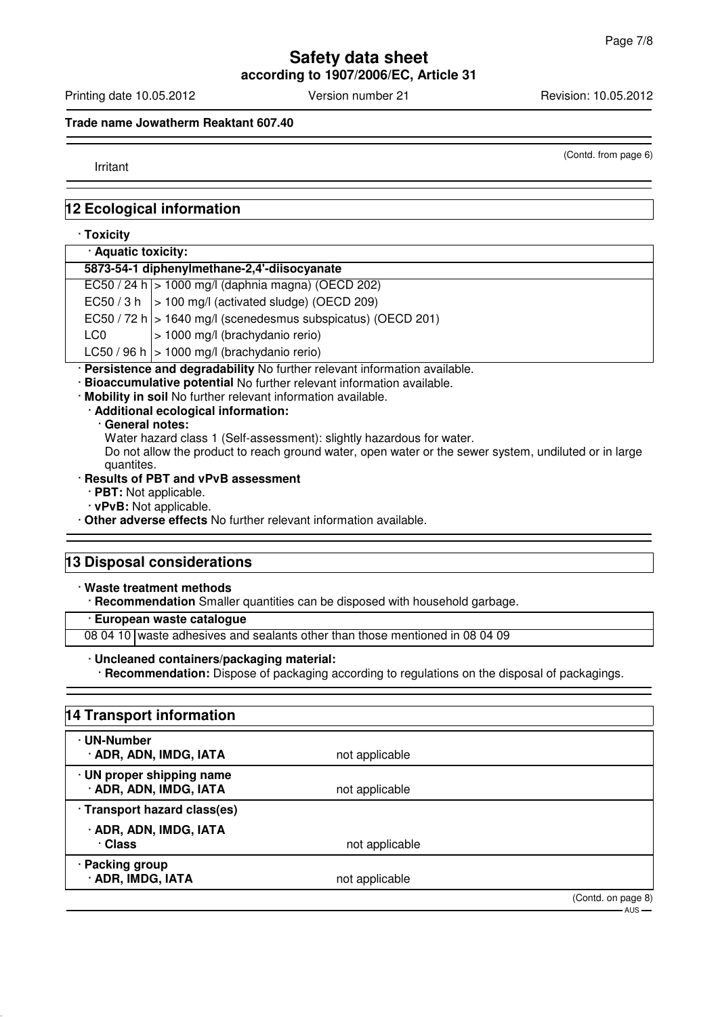**according to 1907/2006/EC, Article 31**

Printing date 10.05.2012 **Version number 21** Revision: 10.05.2012

## **Trade name Jowatherm Reaktant 607.40**

Irritant

(Contd. from page 6)

# **12 Ecological information**

#### · **Toxicity**

| · Aquatic toxicity:                         |                                                                 |  |
|---------------------------------------------|-----------------------------------------------------------------|--|
| 5873-54-1 diphenylmethane-2,4'-diisocyanate |                                                                 |  |
|                                             | $EC50 / 24 h$   > 1000 mg/l (daphnia magna) (OECD 202)          |  |
|                                             | $EC50 / 3 h$   > 100 mg/l (activated sludge) (OECD 209)         |  |
|                                             | EC50 / 72 h $ >$ 1640 mg/l (scenedesmus subspicatus) (OECD 201) |  |
| LC0                                         | > 1000 mg/l (brachydanio rerio)                                 |  |
|                                             | LC50 / 96 h $ >$ 1000 mg/l (brachydanio rerio)                  |  |
|                                             |                                                                 |  |

· **Persistence and degradability** No further relevant information available.

· **Bioaccumulative potential** No further relevant information available.

· **Mobility in soil** No further relevant information available.

· **Additional ecological information:**

#### · **General notes:**

Water hazard class 1 (Self-assessment): slightly hazardous for water.

Do not allow the product to reach ground water, open water or the sewer system, undiluted or in large quantites.

#### · **Results of PBT and vPvB assessment**

- · **PBT:** Not applicable.
- · **vPvB:** Not applicable.

· **Other adverse effects** No further relevant information available.

# **13 Disposal considerations**

### · **Waste treatment methods**

· **Recommendation** Smaller quantities can be disposed with household garbage.

## · **European waste catalogue**

08 04 10 waste adhesives and sealants other than those mentioned in 08 04 09

#### · **Uncleaned containers/packaging material:**

· **Recommendation:** Dispose of packaging according to regulations on the disposal of packagings.

# **14 Transport information**

| · UN-Number<br>· ADR, ADN, IMDG, IATA               | not applicable |            |
|-----------------------------------------------------|----------------|------------|
| · UN proper shipping name<br>· ADR, ADN, IMDG, IATA | not applicable |            |
| · Transport hazard class(es)                        |                |            |
| · ADR, ADN, IMDG, IATA<br>· Class                   | not applicable |            |
| · Packing group<br>· ADR, IMDG, IATA                | not applicable |            |
|                                                     |                | (Contdonn) |